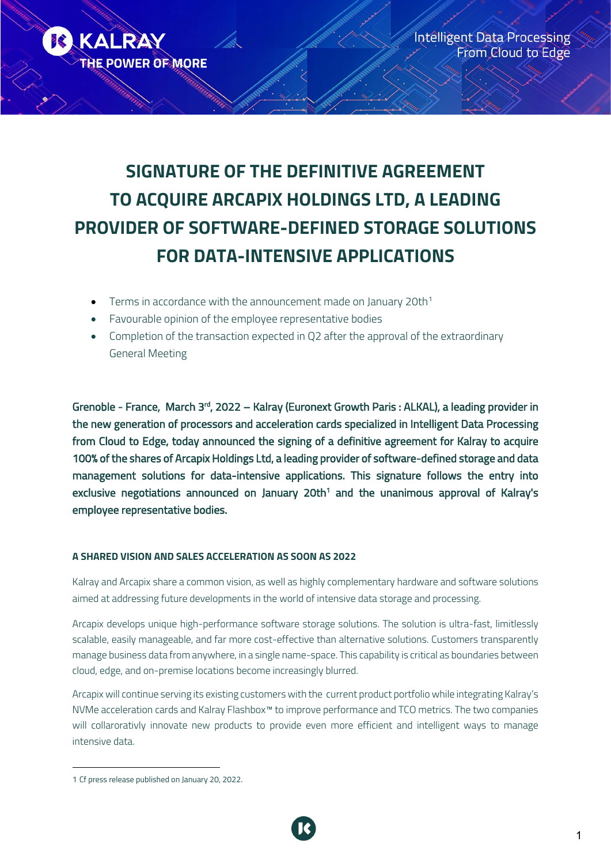

# **SIGNATURE OF THE DEFINITIVE AGREEMENT TO ACQUIRE ARCAPIX HOLDINGS LTD, A LEADING PROVIDER OF SOFTWARE-DEFINED STORAGE SOLUTIONS FOR DATA-INTENSIVE APPLICATIONS**

- Terms in accordance with the announcement made on January 20th<sup>[1](#page-0-0)</sup>
- Favourable opinion of the employee representative bodies
- Completion of the transaction expected in Q2 after the approval of the extraordinary General Meeting

Grenoble - France, March 3<sup>rd</sup>, 2022 – Kalray (Euronext Growth Paris : ALKAL), a leading provider in the new generation of processors and acceleration cards specialized in Intelligent Data Processing from Cloud to Edge, today announced the signing of a definitive agreement for Kalray to acquire 100% of the shares of Arcapix Holdings Ltd, a leading provider of software-defined storage and data management solutions for data-intensive applications. This signature follows the entry into exclusive negotiations announced on January 20th<sup>1</sup> and the unanimous approval of Kalray's employee representative bodies.

# **A SHARED VISION AND SALES ACCELERATION AS SOON AS 2022**

Kalray and Arcapix share a common vision, as well as highly complementary hardware and software solutions aimed at addressing future developments in the world of intensive data storage and processing.

Arcapix develops unique high-performance software storage solutions. The solution is ultra-fast, limitlessly scalable, easily manageable, and far more cost-effective than alternative solutions. Customers transparently manage business data from anywhere, in a single name-space. This capability is critical as boundaries between cloud, edge, and on-premise locations become increasingly blurred.

Arcapix will continue serving its existing customers with the current product portfolio while integrating Kalray's NVMe acceleration cards and Kalray Flashbox™ to improve performance and TCO metrics. The two companies will collarorativly innovate new products to provide even more efficient and intelligent ways to manage intensive data.

<span id="page-0-0"></span><sup>1</sup> Cf press release published on January 20, 2022.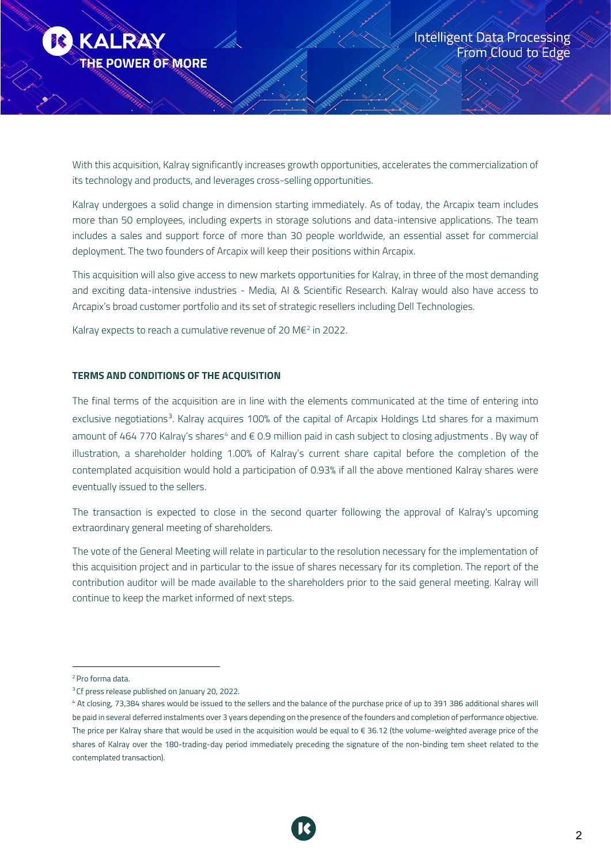

With this acquisition, Kalray significantly increases growth opportunities, accelerates the commercialization of its technology and products, and leverages cross-selling opportunities.

Kalray undergoes a solid change in dimension starting immediately. As of today, the Arcapix team includes more than 50 employees, including experts in storage solutions and data-intensive applications. The team includes a sales and support force of more than 30 people worldwide, an essential asset for commercial deployment. The two founders of Arcapix will keep their positions within Arcapix.

This acquisition will also give access to new markets opportunities for Kalray, in three of the most demanding and exciting data-intensive industries - Media, AI & Scientific Research. Kalray would also have access to Arcapix's broad customer portfolio and its set of strategic resellers including Dell Technologies.

Kalray expects to reach a cumulative revenue of [2](#page-1-0)0 M $\varepsilon^2$  in 2022.

### **TERMS AND CONDITIONS OF THE ACQUISITION**

The final terms of the acquisition are in line with the elements communicated at the time of entering into exclusive negotiations<sup>[3](#page-1-1)</sup>. Kalray acquires 100% of the capital of Arcapix Holdings Ltd shares for a maximum amount of [4](#page-1-2)64 770 Kalray's shares<sup>4</sup> and € 0.9 million paid in cash subject to closing adjustments . By way of illustration, a shareholder holding 1.00% of Kalray's current share capital before the completion of the contemplated acquisition would hold a participation of 0.93% if all the above mentioned Kalray shares were eventually issued to the sellers.

The transaction is expected to close in the second quarter following the approval of Kalray's upcoming extraordinary general meeting of shareholders.

The vote of the General Meeting will relate in particular to the resolution necessary for the implementation of this acquisition project and in particular to the issue of shares necessary for its completion. The report of the contribution auditor will be made available to the shareholders prior to the said general meeting. Kalray will continue to keep the market informed of next steps.



<span id="page-1-0"></span><sup>&</sup>lt;sup>2</sup> Pro forma data.

<span id="page-1-1"></span><sup>&</sup>lt;sup>3</sup> Cf press release published on January 20, 2022.

<span id="page-1-2"></span><sup>4</sup> At closing, 73,384 shares would be issued to the sellers and the balance of the purchase price of up to 391 386 additional shares will be paid in several deferred instalments over 3 years depending on the presence of the founders and completion of performance objective. The price per Kalray share that would be used in the acquisition would be equal to € 36.12 (the volume-weighted average price of the shares of Kalray over the 180-trading-day period immediately preceding the signature of the non-binding tem sheet related to the contemplated transaction).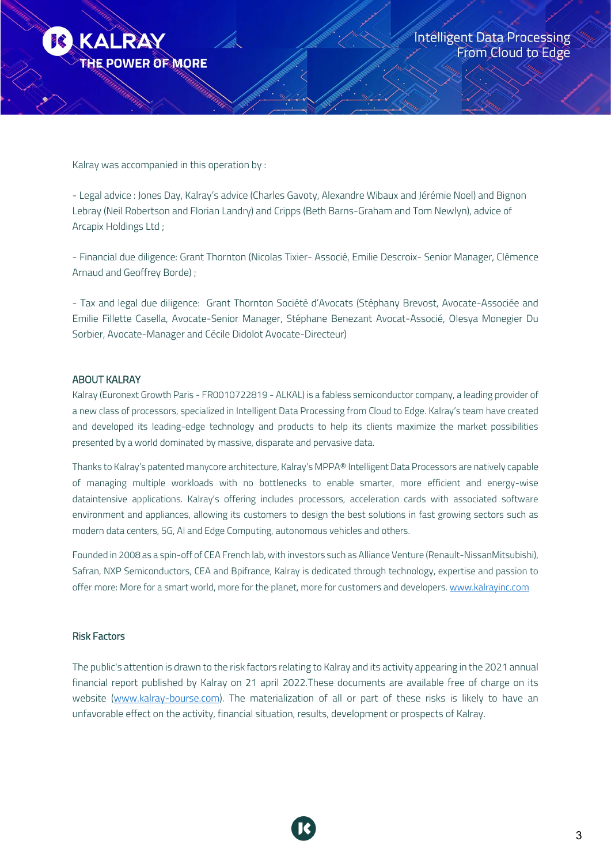

Kalray was accompanied in this operation by :

- Legal advice : Jones Day, Kalray's advice (Charles Gavoty, Alexandre Wibaux and Jérémie Noel) and Bignon Lebray (Neil Robertson and Florian Landry) and Cripps (Beth Barns-Graham and Tom Newlyn), advice of Arcapix Holdings Ltd ;

- Financial due diligence: Grant Thornton (Nicolas Tixier- Associé, Emilie Descroix- Senior Manager, Clémence Arnaud and Geoffrey Borde) ;

- Tax and legal due diligence: Grant Thornton Société d'Avocats (Stéphany Brevost, Avocate-Associée and Emilie Fillette Casella, Avocate-Senior Manager, Stéphane Benezant Avocat-Associé, Olesya Monegier Du Sorbier, Avocate-Manager and Cécile Didolot Avocate-Directeur)

#### ABOUT KALRAY

Kalray (Euronext Growth Paris - FR0010722819 - ALKAL) is a fabless semiconductor company, a leading provider of a new class of processors, specialized in Intelligent Data Processing from Cloud to Edge. Kalray's team have created and developed its leading-edge technology and products to help its clients maximize the market possibilities presented by a world dominated by massive, disparate and pervasive data.

Thanks to Kalray's patented manycore architecture, Kalray's MPPA® Intelligent Data Processors are natively capable of managing multiple workloads with no bottlenecks to enable smarter, more efficient and energy-wise dataintensive applications. Kalray's offering includes processors, acceleration cards with associated software environment and appliances, allowing its customers to design the best solutions in fast growing sectors such as modern data centers, 5G, AI and Edge Computing, autonomous vehicles and others.

Founded in 2008 as a spin-off of CEA French lab, with investors such as Alliance Venture (Renault-NissanMitsubishi), Safran, NXP Semiconductors, CEA and Bpifrance, Kalray is dedicated through technology, expertise and passion to offer more: More for a smart world, more for the planet, more for customers and developers. [www.kalrayinc.com](http://www.kalrayinc.com/)

#### Risk Factors

The public's attention is drawn to the risk factors relating to Kalray and its activity appearing in the 2021 annual financial report published by Kalray on 21 april 2022.These documents are available free of charge on its website (www.kalray-bourse.com). The materialization of all or part of these risks is likely to have an unfavorable effect on the activity, financial situation, results, development or prospects of Kalray.